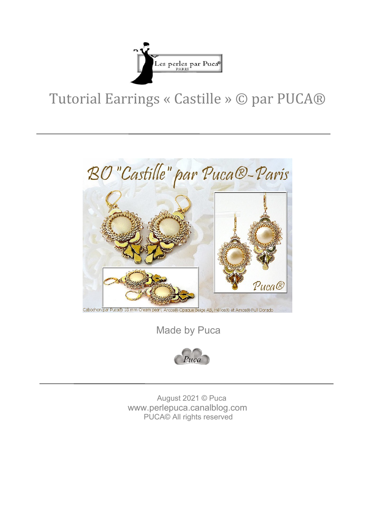

## Tutorial Earrings « Castille » © par PUCA®



Made by Puca



 August 2021 © Puca www.perlepuca.canalblog.com PUCA© All rights reserved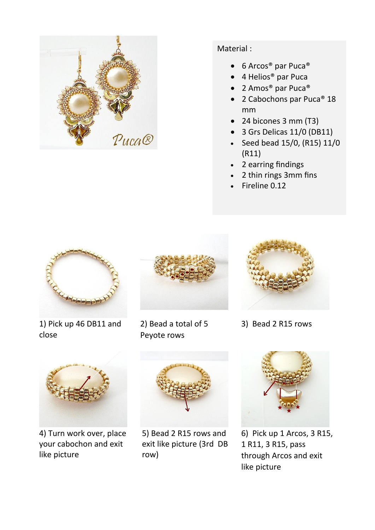

## Material :

- 6 Arcos® par Puca®
- 4 Helios® par Puca
- 2 Amos® par Puca®
- 2 Cabochons par Puca® 18 mm
- 24 bicones 3 mm (T3)
- 3 Grs Delicas 11/0 (DB11)
- Seed bead 15/0, (R15) 11/0 (R11)
- 2 earring findings
- 2 thin rings 3mm fins
- Fireline 0.12



1) Pick up 46 DB11 and close



2) Bead a total of 5 Peyote rows



3) Bead 2 R15 rows



4) Turn work over, place your cabochon and exit like picture



5) Bead 2 R15 rows and exit like picture (3rd DB row)



6) Pick up 1 Arcos, 3 R15, 1 R11, 3 R15, pass through Arcos and exit like picture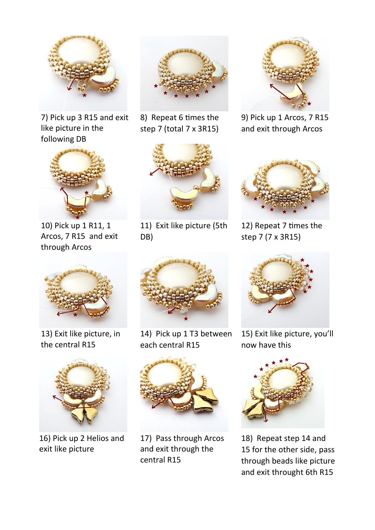

7) Pick up 3 R15 and exit like picture in the following DB



10) Pick up 1 R11, 1 Arcos, 7 R15 and exit through Arcos



8) Repeat 6 times the step 7 (total 7 x 3R15)



11) Exit like picture (5th DB)



9) Pick up 1 Arcos, 7 R15 and exit through Arcos



12) Repeat 7 times the step 7 (7 x 3R15)



13) Exit like picture, in the central R15



16) Pick up 2 Helios and exit like picture



14) Pick up 1 T3 between each central R15



17) Pass through Arcos and exit through the central R15



15) Exit like picture, you'll now have this



18) Repeat step 14 and 15 for the other side, pass through beads like picture and exit throught 6th R15